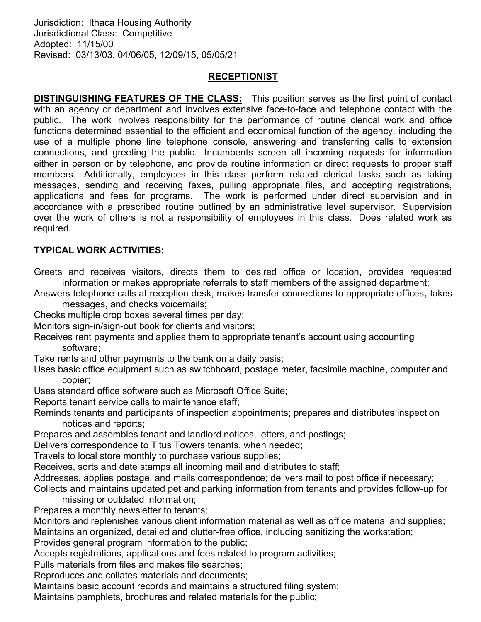Jurisdiction: Ithaca Housing Authority Jurisdictional Class: Competitive Adopted: 11/15/00 Revised: 03/13/03, 04/06/05, 12/09/15, 05/05/21

## RECEPTIONIST

**DISTINGUISHING FEATURES OF THE CLASS:** This position serves as the first point of contact with an agency or department and involves extensive face-to-face and telephone contact with the public. The work involves responsibility for the performance of routine clerical work and office functions determined essential to the efficient and economical function of the agency, including the use of a multiple phone line telephone console, answering and transferring calls to extension connections, and greeting the public. Incumbents screen all incoming requests for information either in person or by telephone, and provide routine information or direct requests to proper staff members. Additionally, employees in this class perform related clerical tasks such as taking messages, sending and receiving faxes, pulling appropriate files, and accepting registrations, applications and fees for programs. The work is performed under direct supervision and in accordance with a prescribed routine outlined by an administrative level supervisor. Supervision over the work of others is not a responsibility of employees in this class. Does related work as required.

## TYPICAL WORK ACTIVITIES:

Greets and receives visitors, directs them to desired office or location, provides requested information or makes appropriate referrals to staff members of the assigned department;

Answers telephone calls at reception desk, makes transfer connections to appropriate offices, takes messages, and checks voicemails;

Checks multiple drop boxes several times per day;

Monitors sign-in/sign-out book for clients and visitors;

- Receives rent payments and applies them to appropriate tenant's account using accounting software;
- Take rents and other payments to the bank on a daily basis;
- Uses basic office equipment such as switchboard, postage meter, facsimile machine, computer and copier;
- Uses standard office software such as Microsoft Office Suite;
- Reports tenant service calls to maintenance staff;

Reminds tenants and participants of inspection appointments; prepares and distributes inspection notices and reports;

Prepares and assembles tenant and landlord notices, letters, and postings;

Delivers correspondence to Titus Towers tenants, when needed;

Travels to local store monthly to purchase various supplies;

Receives, sorts and date stamps all incoming mail and distributes to staff;

- Addresses, applies postage, and mails correspondence; delivers mail to post office if necessary;
- Collects and maintains updated pet and parking information from tenants and provides follow-up for missing or outdated information;

Prepares a monthly newsletter to tenants;

Monitors and replenishes various client information material as well as office material and supplies; Maintains an organized, detailed and clutter-free office, including sanitizing the workstation;

Provides general program information to the public;

Accepts registrations, applications and fees related to program activities;

Pulls materials from files and makes file searches;

Reproduces and collates materials and documents;

Maintains basic account records and maintains a structured filing system;

Maintains pamphlets, brochures and related materials for the public;